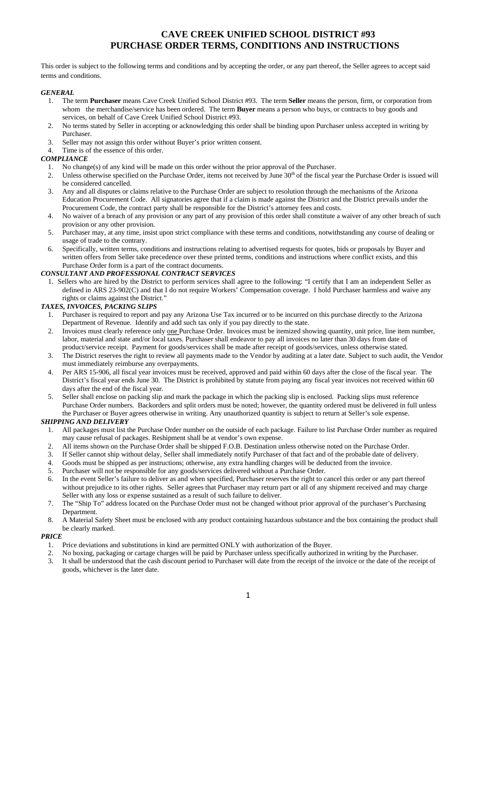This order is subject to the following terms and conditions and by accepting the order, or any part thereof, the Seller agrees to accept said terms and conditions.

## *GENERAL*

- 1. The term **Purchaser** means Cave Creek Unified School District #93. The term **Seller** means the person, firm, or corporation from whom the merchandise/service has been ordered. The term **Buyer** means a person who buys, or contracts to buy goods and services, on behalf of Cave Creek Unified School District #93.
- 2. No terms stated by Seller in accepting or acknowledging this order shall be binding upon Purchaser unless accepted in writing by Purchaser.
- 3. Seller may not assign this order without Buyer's prior written consent.
- 4. Time is of the essence of this order.

# *COMPLIANCE*

- No change(s) of any kind will be made on this order without the prior approval of the Purchaser.
- 2. Unless otherwise specified on the Purchase Order, items not received by June 30<sup>th</sup> of the fiscal year the Purchase Order is issued will be considered cancelled.
- 3. Any and all disputes or claims relative to the Purchase Order are subject to resolution through the mechanisms of the Arizona Education Procurement Code. All signatories agree that if a claim is made against the District and the District prevails under the Procurement Code, the contract party shall be responsible for the District's attorney fees and costs.
- 4. No waiver of a breach of any provision or any part of any provision of this order shall constitute a waiver of any other breach of such provision or any other provision.
- 5. Purchaser may, at any time, insist upon strict compliance with these terms and conditions, notwithstanding any course of dealing or usage of trade to the contrary.
- 6. Specifically, written terms, conditions and instructions relating to advertised requests for quotes, bids or proposals by Buyer and written offers from Seller take precedence over these printed terms, conditions and instructions where conflict exists, and this Purchase Order form is a part of the contract documents.

## *CONSULTANT AND PROFESSIONAL CONTRACT SERVICES*

1. Sellers who are hired by the District to perform services shall agree to the following: "I certify that I am an independent Seller as defined in ARS 23-902(C) and that I do not require Workers' Compensation coverage. I hold Purchaser harmless and waive any rights or claims against the District."

## *TAXES, INVOICES, PACKING SLIPS*

- 1. Purchaser is required to report and pay any Arizona Use Tax incurred or to be incurred on this purchase directly to the Arizona Department of Revenue. Identify and add such tax only if you pay directly to the state.
- 2. Invoices must clearly reference only <u>one</u> Purchase Order. Invoices must be itemized showing quantity, unit price, line item number, labor, material and state and/or local taxes. Purchaser shall endeavor to pay all invoices no later than 30 days from date of product/service receipt. Payment for goods/services shall be made after receipt of goods/services, unless otherwise stated.
- 3. The District reserves the right to review all payments made to the Vendor by auditing at a later date. Subject to such audit, the Vendor must immediately reimburse any overpayments.
- 4. Per ARS 15-906, all fiscal year invoices must be received, approved and paid within 60 days after the close of the fiscal year. The District's fiscal year ends June 30. The District is prohibited by statute from paying any fiscal year invoices not received within 60 days after the end of the fiscal year.
- 5. Seller shall enclose on packing slip and mark the package in which the packing slip is enclosed. Packing slips must reference Purchase Order numbers. Backorders and split orders must be noted; however, the quantity ordered must be delivered in full unless the Purchaser or Buyer agrees otherwise in writing. Any unauthorized quantity is subject to return at Seller's sole expense.

## *SHIPPING AND DELIVERY*

- 1. All packages must list the Purchase Order number on the outside of each package. Failure to list Purchase Order number as required may cause refusal of packages. Reshipment shall be at vendor's own expense.
- 2. All items shown on the Purchase Order shall be shipped F.O.B. Destination unless otherwise noted on the Purchase Order.
- 3. If Seller cannot ship without delay, Seller shall immediately notify Purchaser of that fact and of the probable date of delivery.
- 4. Goods must be shipped as per instructions; otherwise, any extra handling charges will be deducted from the invoice.
- 5. Purchaser will not be responsible for any goods/services delivered without a Purchase Order.
- 6. In the event Seller's failure to deliver as and when specified, Purchaser reserves the right to cancel this order or any part thereof without prejudice to its other rights. Seller agrees that Purchaser may return part or all of any shipment received and may charge Seller with any loss or expense sustained as a result of such failure to deliver.
- 7. The "Ship To" address located on the Purchase Order must not be changed without prior approval of the purchaser's Purchasing Department.
- 8. A Material Safety Sheet must be enclosed with any product containing hazardous substance and the box containing the product shall be clearly marked.

## *PRICE*

- 
- 1. Price deviations and substitutions in kind are permitted ONLY with authorization of the Buyer.<br>2. No boxing, packaging or cartage charges will be paid by Purchaser unless specifically authorize 2. No boxing, packaging or cartage charges will be paid by Purchaser unless specifically authorized in writing by the Purchaser.
- 3. It shall be understood that the cash discount period to Purchaser will date from the receipt of the invoice or the date of the receipt of goods, whichever is the later date.

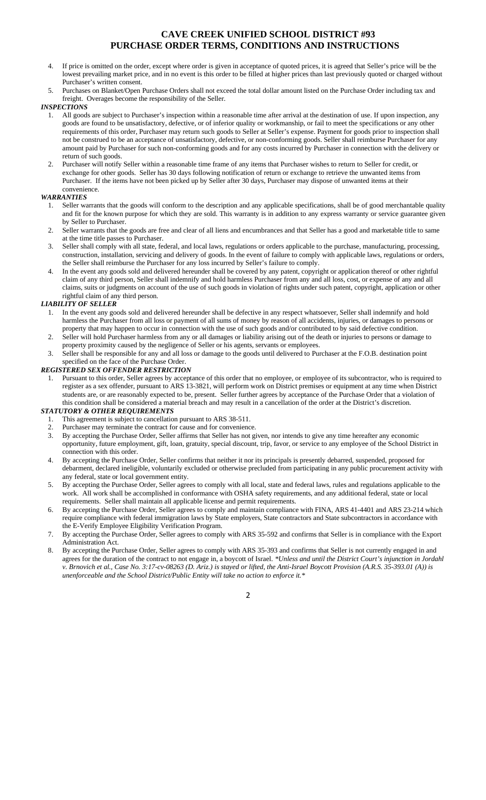- 4. If price is omitted on the order, except where order is given in acceptance of quoted prices, it is agreed that Seller's price will be the lowest prevailing market price, and in no event is this order to be filled at higher prices than last previously quoted or charged without Purchaser's written consent.
- 5. Purchases on Blanket/Open Purchase Orders shall not exceed the total dollar amount listed on the Purchase Order including tax and freight. Overages become the responsibility of the Seller.

#### *INSPECTIONS*

- 1. All goods are subject to Purchaser's inspection within a reasonable time after arrival at the destination of use. If upon inspection, any goods are found to be unsatisfactory, defective, or of inferior quality or workmanship, or fail to meet the specifications or any other requirements of this order, Purchaser may return such goods to Seller at Seller's expense. Payment for goods prior to inspection shall not be construed to be an acceptance of unsatisfactory, defective, or non-conforming goods. Seller shall reimburse Purchaser for any amount paid by Purchaser for such non-conforming goods and for any costs incurred by Purchaser in connection with the delivery or return of such goods.
- 2. Purchaser will notify Seller within a reasonable time frame of any items that Purchaser wishes to return to Seller for credit, or exchange for other goods. Seller has 30 days following notification of return or exchange to retrieve the unwanted items from Purchaser. If the items have not been picked up by Seller after 30 days, Purchaser may dispose of unwanted items at their convenience.

#### *WARRANTIES*

- 1. Seller warrants that the goods will conform to the description and any applicable specifications, shall be of good merchantable quality and fit for the known purpose for which they are sold. This warranty is in addition to any express warranty or service guarantee given by Seller to Purchaser.
- 2. Seller warrants that the goods are free and clear of all liens and encumbrances and that Seller has a good and marketable title to same at the time title passes to Purchaser.
- 3. Seller shall comply with all state, federal, and local laws, regulations or orders applicable to the purchase, manufacturing, processing, construction, installation, servicing and delivery of goods. In the event of failure to comply with applicable laws, regulations or orders, the Seller shall reimburse the Purchaser for any loss incurred by Seller's failure to comply.
- 4. In the event any goods sold and delivered hereunder shall be covered by any patent, copyright or application thereof or other rightful claim of any third person, Seller shall indemnify and hold harmless Purchaser from any and all loss, cost, or expense of any and all claims, suits or judgments on account of the use of such goods in violation of rights under such patent, copyright, application or other rightful claim of any third person.

#### *LIABILITY OF SELLER*

- 1. In the event any goods sold and delivered hereunder shall be defective in any respect whatsoever, Seller shall indemnify and hold harmless the Purchaser from all loss or payment of all sums of money by reason of all accidents, injuries, or damages to persons or property that may happen to occur in connection with the use of such goods and/or contributed to by said defective condition.
- 2. Seller will hold Purchaser harmless from any or all damages or liability arising out of the death or injuries to persons or damage to property proximity caused by the negligence of Seller or his agents, servants or employees.
- 3. Seller shall be responsible for any and all loss or damage to the goods until delivered to Purchaser at the F.O.B. destination point specified on the face of the Purchase Order.

#### *REGISTERED SEX OFFENDER RESTRICTION*

1. Pursuant to this order, Seller agrees by acceptance of this order that no employee, or employee of its subcontractor, who is required to register as a sex offender, pursuant to ARS 13-3821, will perform work on District premises or equipment at any time when District students are, or are reasonably expected to be, present. Seller further agrees by acceptance of the Purchase Order that a violation of this condition shall be considered a material breach and may result in a cancellation of the order at the District's discretion.

## *STATUTORY & OTHER REQUIREMENTS*

- 1. This agreement is subject to cancellation pursuant to ARS 38-511.
- 2. Purchaser may terminate the contract for cause and for convenience.
- 3. By accepting the Purchase Order, Seller affirms that Seller has not given, nor intends to give any time hereafter any economic opportunity, future employment, gift, loan, gratuity, special discount, trip, favor, or service to any employee of the School District in connection with this order.
- 4. By accepting the Purchase Order, Seller confirms that neither it nor its principals is presently debarred, suspended, proposed for debarment, declared ineligible, voluntarily excluded or otherwise precluded from participating in any public procurement activity with any federal, state or local government entity.
- 5. By accepting the Purchase Order, Seller agrees to comply with all local, state and federal laws, rules and regulations applicable to the work. All work shall be accomplished in conformance with OSHA safety requirements, and any additional federal, state or local requirements. Seller shall maintain all applicable license and permit requirements.
- 6. By accepting the Purchase Order, Seller agrees to comply and maintain compliance with FINA, ARS 41-4401 and ARS 23-214 which require compliance with federal immigration laws by State employers, State contractors and State subcontractors in accordance with the E-Verify Employee Eligibility Verification Program.
- 7. By accepting the Purchase Order, Seller agrees to comply with ARS 35-592 and confirms that Seller is in compliance with the Export Administration Act.
- 8. By accepting the Purchase Order, Seller agrees to comply with ARS 35-393 and confirms that Seller is not currently engaged in and agrees for the duration of the contract to not engage in, a boycott of Israel. *\*Unless and until the District Court's injunction in Jordahl v. Brnovich et al., Case No. 3:17-cv-08263 (D. Ariz.) is stayed or lifted, the Anti-Israel Boycott Provision (A.R.S. 35-393.01 (A)) is unenforceable and the School District/Public Entity will take no action to enforce it.\**

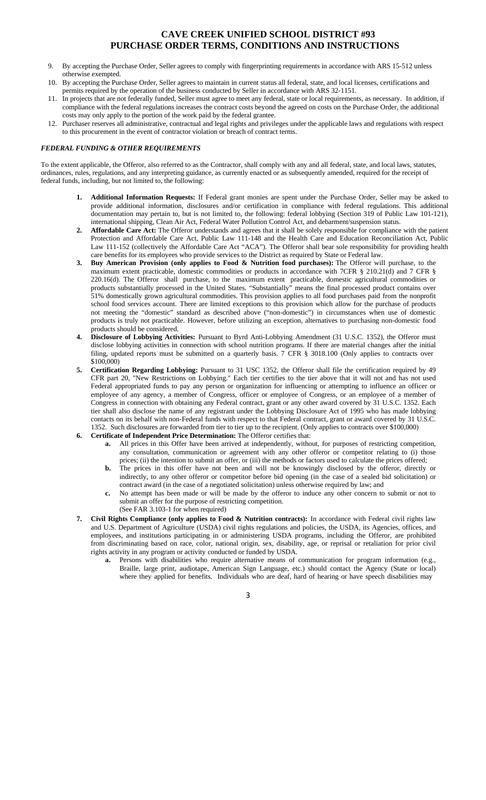- 9. By accepting the Purchase Order, Seller agrees to comply with fingerprinting requirements in accordance with ARS 15-512 unless otherwise exempted.
- 10. By accepting the Purchase Order, Seller agrees to maintain in current status all federal, state, and local licenses, certifications and permits required by the operation of the business conducted by Seller in accordance with ARS 32-1151.
- 11. In projects that are not federally funded, Seller must agree to meet any federal, state or local requirements, as necessary. In addition, if compliance with the federal regulations increases the contract costs beyond the agreed on costs on the Purchase Order, the additional costs may only apply to the portion of the work paid by the federal grantee.
- 12. Purchaser reserves all administrative, contractual and legal rights and privileges under the applicable laws and regulations with respect to this procurement in the event of contractor violation or breach of contract terms.

#### *FEDERAL FUNDING & OTHER REQUIREMENTS*

To the extent applicable, the Offeror, also referred to as the Contractor, shall comply with any and all federal, state, and local laws, statutes, ordinances, rules, regulations, and any interpreting guidance, as currently enacted or as subsequently amended, required for the receipt of federal funds, including, but not limited to, the following:

- **1. Additional Information Requests:** If Federal grant monies are spent under the Purchase Order, Seller may be asked to provide additional information, disclosures and/or certification in compliance with federal regulations. This additional documentation may pertain to, but is not limited to, the following: federal lobbying (Section 319 of Public Law 101-121), international shipping, Clean Air Act, Federal Water Pollution Control Act, and debarment/suspension status.
- **2. Affordable Care Act:** The Offeror understands and agrees that it shall be solely responsible for compliance with the patient Protection and Affordable Care Act, Public Law 111-148 and the Health Care and Education Reconciliation Act, Public Law 111-152 (collectively the Affordable Care Act "ACA"). The Offeror shall bear sole responsibility for providing health care benefits for its employees who provide services to the District as required by State or Federal law.
- **3. Buy American Provision (only applies to Food & Nutrition food purchases):** The Offeror will purchase, to the maximum extent practicable, domestic commodities or products in accordance with 7CFR § 210.21(d) and 7 CFR § 220.16(d). The Offeror shall purchase, to the maximum extent practicable, domestic agricultural commodities or products substantially processed in the United States. "Substantially" means the final processed product contains over 51% domestically grown agricultural commodities. This provision applies to all food purchases paid from the nonprofit school food services account. There are limited exceptions to this provision which allow for the purchase of products not meeting the "domestic" standard as described above ("non-domestic") in circumstances when use of domestic products is truly not practicable. However, before utilizing an exception, alternatives to purchasing non-domestic food products should be considered.
- **4. Disclosure of Lobbying Activities:** Pursuant to Byrd Anti-Lobbying Amendment (31 U.S.C. 1352), the Offeror must disclose lobbying activities in connection with school nutrition programs. If there are material changes after the initial filing, updated reports must be submitted on a quarterly basis. 7 CFR § 3018.100 (Only applies to contracts over \$100,000)
- **5. Certification Regarding Lobbying:** Pursuant to 31 USC 1352, the Offeror shall file the certification required by 49 CFR part 20, "New Restrictions on Lobbying." Each tier certifies to the tier above that it will not and has not used Federal appropriated funds to pay any person or organization for influencing or attempting to influence an officer or employee of any agency, a member of Congress, officer or employee of Congress, or an employee of a member of Congress in connection with obtaining any Federal contract, grant or any other award covered by 31 U.S.C. 1352. Each tier shall also disclose the name of any registrant under the Lobbying Disclosure Act of 1995 who has made lobbying contacts on its behalf with non-Federal funds with respect to that Federal contract, grant or award covered by 31 U.S.C. 1352. Such disclosures are forwarded from tier to tier up to the recipient. (Only applies to contracts over \$100,000) **6. Certificate of Independent Price Determination:** The Offeror certifies that:
- - **a.** All prices in this Offer have been arrived at independently, without, for purposes of restricting competition, any consultation, communication or agreement with any other offeror or competitor relating to (i) those prices; (ii) the intention to submit an offer, or (iii) the methods or factors used to calculate the prices offered;
	- **b.** The prices in this offer have not been and will not be knowingly disclosed by the offeror, directly or indirectly, to any other offeror or competitor before bid opening (in the case of a sealed bid solicitation) or contract award (in the case of a negotiated solicitation) unless otherwise required by law; and
	- **c.** No attempt has been made or will be made by the offeror to induce any other concern to submit or not to submit an offer for the purpose of restricting competition. (See FAR 3.103-1 for when required)
- **7. Civil Rights Compliance (only applies to Food & Nutrition contracts):** In accordance with Federal civil rights law and U.S. Department of Agriculture (USDA) civil rights regulations and policies, the USDA, its Agencies, offices, and employees, and institutions participating in or administering USDA programs, including the Offeror, are prohibited from discriminating based on race, color, national origin, sex, disability, age, or reprisal or retaliation for prior civil rights activity in any program or activity conducted or funded by USDA.
	- **a.** Persons with disabilities who require alternative means of communication for program information (e.g., Braille, large print, audiotape, American Sign Language, etc.) should contact the Agency (State or local) where they applied for benefits. Individuals who are deaf, hard of hearing or have speech disabilities may

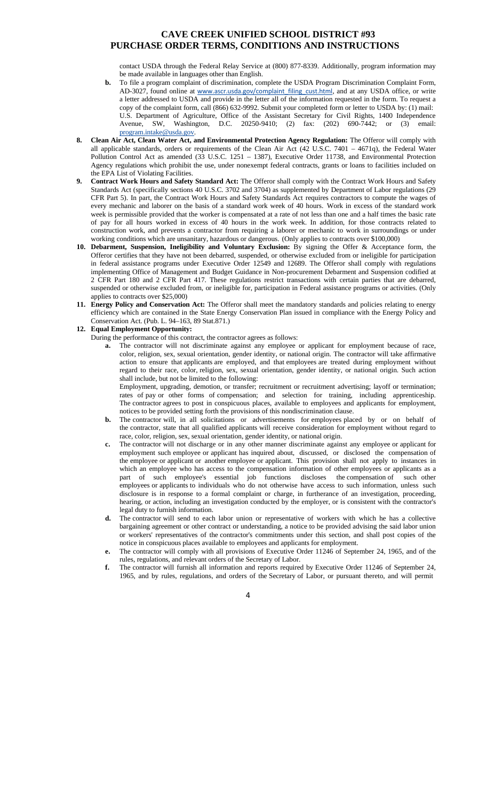contact USDA through the Federal Relay Service at (800) 877-8339. Additionally, program information may be made available in languages other than English.

- **b.** To file a program complaint of discrimination, complete the USDA Program Discrimination Complaint Form, AD-3027, found online at www.ascr.usda.gov/complaint filing cust.html, and at any USDA office, or write a letter addressed to USDA and provide in the letter all of the information requested in the form. To request a copy of the complaint form, call (866) 632-9992. Submit your completed form or letter to USDA by: (1) mail: U.S. Department of Agriculture, Office of the Assistant Secretary for Civil Rights, 1400 Independence Avenue, SW, Washington, D.C. 20250-9410; (2) fax: (202) 690-7442; or (3) email: Avenue, SW, Washington, D.C. 20250-9410; (2) fax: (202) 690-7442; or (3) email: program.intake@usda.gov.
- **8. Clean Air Act, Clean Water Act, and Environmental Protection Agency Regulation:** The Offeror will comply with all applicable standards, orders or requirements of the Clean Air Act (42 U.S.C. 7401 – 4671q), the Federal Water Pollution Control Act as amended (33 U.S.C. 1251 – 1387), Executive Order 11738, and Environmental Protection Agency regulations which prohibit the use, under nonexempt federal contracts, grants or loans to facilities included on the EPA List of Violating Facilities.
- **9. Contract Work Hours and Safety Standard Act:** The Offeror shall comply with the Contract Work Hours and Safety Standards Act (specifically sections 40 U.S.C. 3702 and 3704) as supplemented by Department of Labor regulations (29 CFR Part 5). In part, the Contract Work Hours and Safety Standards Act requires contractors to compute the wages of every mechanic and laborer on the basis of a standard work week of 40 hours. Work in excess of the standard work week is permissible provided that the worker is compensated at a rate of not less than one and a half times the basic rate of pay for all hours worked in excess of 40 hours in the work week. In addition, for those contracts related to construction work, and prevents a contractor from requiring a laborer or mechanic to work in surroundings or under working conditions which are unsanitary, hazardous or dangerous. (Only applies to contracts over \$100,000)
- **10. Debarment, Suspension, Ineligibility and Voluntary Exclusion:** By signing the Offer & Acceptance form, the Offeror certifies that they have not been debarred, suspended, or otherwise excluded from or ineligible for participation in federal assistance programs under Executive Order 12549 and 12689. The Offeror shall comply with regulations implementing Office of Management and Budget Guidance in Non-procurement Debarment and Suspension codified at 2 CFR Part 180 and 2 CFR Part 417. These regulations restrict transactions with certain parties that are debarred, suspended or otherwise excluded from, or ineligible for, participation in Federal assistance programs or activities. (Only applies to contracts over \$25,000)
- **11. Energy Policy and Conservation Act:** The Offeror shall meet the mandatory standards and policies relating to energy efficiency which are contained in the State Energy Conservation Plan issued in compliance with the Energy Policy and Conservation Act. (Pub. L. 94–163, 89 Stat.871.)
- **12. Equal Employment Opportunity:**
	- During the performance of this contract, the contractor agrees as follows:
		- The contractor will not discriminate against any employee or applicant for employment because of race, color, religion, sex, sexual orientation, gender identity, or national origin. The contractor will take affirmative action to ensure that applicants are employed, and that employees are treated during employment without regard to their race, color, religion, sex, sexual orientation, gender identity, or national origin. Such action shall include, but not be limited to the following:

Employment, upgrading, demotion, or transfer; recruitment or recruitment advertising; layoff or termination; rates of pay or other forms of compensation; and selection for training, including apprenticeship. The contractor agrees to post in conspicuous places, available to employees and applicants for employment, notices to be provided setting forth the provisions of this nondiscrimination clause.

- **b.** The contractor will, in all solicitations or advertisements for employees placed by or on behalf of the contractor, state that all qualified applicants will receive consideration for employment without regard to race, color, religion, sex, sexual orientation, gender identity, or national origin.
- **c.** The contractor will not discharge or in any other manner discriminate against any employee or applicant for employment such employee or applicant has inquired about, discussed, or disclosed the compensation of the employee or applicant or another employee or applicant. This provision shall not apply to instances in which an employee who has access to the compensation information of other employees or applicants as a part of such employee's essential job functions discloses the compensation of such other employees or applicants to individuals who do not otherwise have access to such information, unless such disclosure is in response to a formal complaint or charge, in furtherance of an investigation, proceeding, hearing, or action, including an investigation conducted by the employer, or is consistent with the contractor's legal duty to furnish information.
- **d.** The contractor will send to each labor union or representative of workers with which he has a collective bargaining agreement or other contract or understanding, a notice to be provided advising the said labor union or workers' representatives of the contractor's commitments under this section, and shall post copies of the notice in conspicuous places available to employees and applicants for employment.
- **e.** The contractor will comply with all provisions of Executive Order 11246 of September 24, 1965, and of the rules, regulations, and relevant orders of the Secretary of Labor.
- **f.** The contractor will furnish all information and reports required by Executive Order 11246 of September 24, 1965, and by rules, regulations, and orders of the Secretary of Labor, or pursuant thereto, and will permit

 $\overline{A}$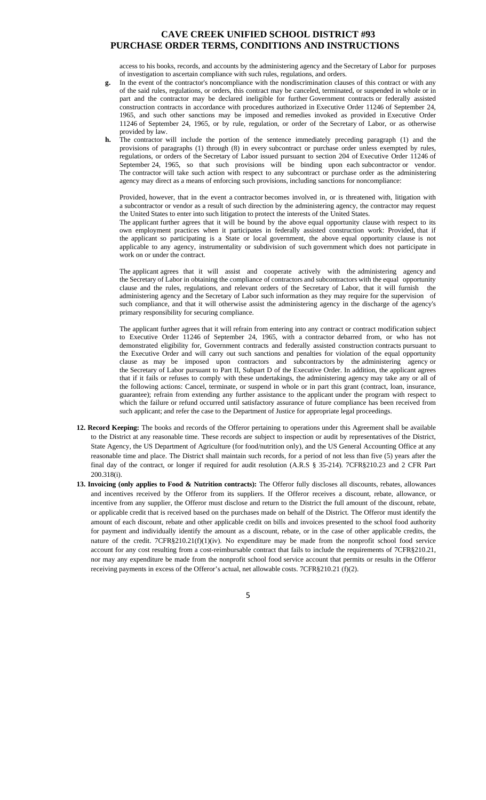access to his books, records, and accounts by the administering agency and the Secretary of Labor for purposes of investigation to ascertain compliance with such rules, regulations, and orders.

- **g.** In the event of the contractor's noncompliance with the nondiscrimination clauses of this contract or with any of the said rules, regulations, or orders, this contract may be canceled, terminated, or suspended in whole or in part and the contractor may be declared ineligible for further Government contracts or federally assisted construction contracts in accordance with procedures authorized in Executive Order 11246 of September 24, 1965, and such other sanctions may be imposed and remedies invoked as provided in Executive Order 11246 of September 24, 1965, or by rule, regulation, or order of the Secretary of Labor, or as otherwise provided by law.
- **h.** The contractor will include the portion of the sentence immediately preceding paragraph (1) and the provisions of paragraphs (1) through (8) in every subcontract or purchase order unless exempted by rules, regulations, or orders of the Secretary of Labor issued pursuant to section 204 of Executive Order 11246 of September 24, 1965, so that such provisions will be binding upon each subcontractor or vendor. The contractor will take such action with respect to any subcontract or purchase order as the administering agency may direct as a means of enforcing such provisions, including sanctions for noncompliance:

Provided, however, that in the event a contractor becomes involved in, or is threatened with, litigation with a subcontractor or vendor as a result of such direction by the administering agency, the contractor may request the United States to enter into such litigation to protect the interests of the United States.

The applicant further agrees that it will be bound by the above equal opportunity clause with respect to its own employment practices when it participates in federally assisted construction work: Provided, that if the applicant so participating is a State or local government, the above equal opportunity clause is not applicable to any agency, instrumentality or subdivision of such government which does not participate in work on or under the contract.

The applicant agrees that it will assist and cooperate actively with the administering agency and the Secretary of Labor in obtaining the compliance of contractors and subcontractors with the equal opportunity clause and the rules, regulations, and relevant orders of the Secretary of Labor, that it will furnish the administering agency and the Secretary of Labor such information as they may require for the supervision of such compliance, and that it will otherwise assist the administering agency in the discharge of the agency's primary responsibility for securing compliance.

The applicant further agrees that it will refrain from entering into any contract or contract modification subject to Executive Order 11246 of September 24, 1965, with a contractor debarred from, or who has not demonstrated eligibility for, Government contracts and federally assisted construction contracts pursuant to the Executive Order and will carry out such sanctions and penalties for violation of the equal opportunity clause as may be imposed upon contractors and subcontractors by the administering agency or the Secretary of Labor pursuant to Part II, Subpart D of the Executive Order. In addition, the applicant agrees that if it fails or refuses to comply with these undertakings, the administering agency may take any or all of the following actions: Cancel, terminate, or suspend in whole or in part this grant (contract, loan, insurance, guarantee); refrain from extending any further assistance to the applicant under the program with respect to which the failure or refund occurred until satisfactory assurance of future compliance has been received from such applicant; and refer the case to the Department of Justice for appropriate legal proceedings.

- **12. Record Keeping:** The books and records of the Offeror pertaining to operations under this Agreement shall be available to the District at any reasonable time. These records are subject to inspection or audit by representatives of the District, State Agency, the US Department of Agriculture (for food/nutrition only), and the US General Accounting Office at any reasonable time and place. The District shall maintain such records, for a period of not less than five (5) years after the final day of the contract, or longer if required for audit resolution (A.R.S § 35-214). 7CFR§210.23 and 2 CFR Part 200.318(i).
- **13. Invoicing (only applies to Food & Nutrition contracts):** The Offeror fully discloses all discounts, rebates, allowances and incentives received by the Offeror from its suppliers. If the Offeror receives a discount, rebate, allowance, or incentive from any supplier, the Offeror must disclose and return to the District the full amount of the discount, rebate, or applicable credit that is received based on the purchases made on behalf of the District. The Offeror must identify the amount of each discount, rebate and other applicable credit on bills and invoices presented to the school food authority for payment and individually identify the amount as a discount, rebate, or in the case of other applicable credits, the nature of the credit. 7CFR§210.21(f)(1)(iv). No expenditure may be made from the nonprofit school food service account for any cost resulting from a cost-reimbursable contract that fails to include the requirements of 7CFR§210.21, nor may any expenditure be made from the nonprofit school food service account that permits or results in the Offeror receiving payments in excess of the Offeror's actual, net allowable costs. 7CFR§210.21 (f)(2).

5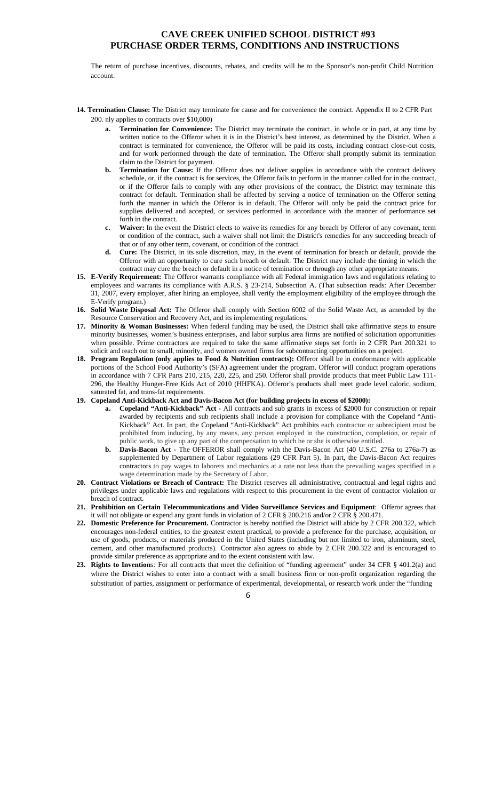The return of purchase incentives, discounts, rebates, and credits will be to the Sponsor's non-profit Child Nutrition account.

- **14. Termination Clause:** The District may terminate for cause and for convenience the contract. Appendix II to 2 CFR Part 200. nly applies to contracts over \$10,000)
	- **a. Termination for Convenience:** The District may terminate the contract, in whole or in part, at any time by written notice to the Offeror when it is in the District's best interest, as determined by the District. When a contract is terminated for convenience, the Offeror will be paid its costs, including contract close-out costs, and for work performed through the date of termination. The Offeror shall promptly submit its termination claim to the District for payment.
	- **b. Termination for Cause:** If the Offeror does not deliver supplies in accordance with the contract delivery schedule, or, if the contract is for services, the Offeror fails to perform in the manner called for in the contract, or if the Offeror fails to comply with any other provisions of the contract, the District may terminate this contract for default. Termination shall be affected by serving a notice of termination on the Offeror setting forth the manner in which the Offeror is in default. The Offeror will only be paid the contract price for supplies delivered and accepted, or services performed in accordance with the manner of performance set forth in the contract.
	- **c. Waiver:** In the event the District elects to waive its remedies for any breach by Offeror of any covenant, term or condition of the contract, such a waiver shall not limit the District's remedies for any succeeding breach of that or of any other term, covenant, or condition of the contract.
	- **d. Cure:** The District, in its sole discretion, may, in the event of termination for breach or default, provide the Offeror with an opportunity to cure such breach or default. The District may include the timing in which the contract may cure the breach or default in a notice of termination or through any other appropriate means.
- **15. E-Verify Requirement:** The Offeror warrants compliance with all Federal immigration laws and regulations relating to employees and warrants its compliance with A.R.S. § 23-214, Subsection A. (That subsection reads: After December 31, 2007, every employer, after hiring an employee, shall verify the employment eligibility of the employee through the E-Verify program.)
- **16. Solid Waste Disposal Act:** The Offeror shall comply with Section 6002 of the Solid Waste Act, as amended by the Resource Conservation and Recovery Act, and its implementing regulations.
- **17. Minority & Woman Businesses:** When federal funding may be used, the District shall take affirmative steps to ensure minority businesses, women's business enterprises, and labor surplus area firms are notified of solicitation opportunities when possible. Prime contractors are required to take the same affirmative steps set forth in 2 CFR Part 200.321 to solicit and reach out to small, minority, and women owned firms for subcontracting opportunities on a project.
- **18. Program Regulation (only applies to Food & Nutrition contracts):** Offeror shall be in conformance with applicable portions of the School Food Authority's (SFA) agreement under the program. Offeror will conduct program operations in accordance with 7 CFR Parts 210, 215, 220, 225, and 250. Offeror shall provide products that meet Public Law 111- 296, the Healthy Hunger-Free Kids Act of 2010 (HHFKA). Offeror's products shall meet grade level caloric, sodium, saturated fat, and trans-fat requirements.
- **19. Copeland Anti-Kickback Act and Davis-Bacon Act (for building projects in excess of \$2000):**
	- **a. Copeland "Anti-Kickback" Act** All contracts and sub grants in excess of \$2000 for construction or repair awarded by recipients and sub recipients shall include a provision for compliance with the Copeland "Anti-Kickback" Act. In part, the Copeland "Anti-Kickback" Act prohibits each contractor or subrecipient must be prohibited from inducing, by any means, any person employed in the construction, completion, or repair of public work, to give up any part of the compensation to which he or she is otherwise entitled.
	- **b. Davis-Bacon Act** The OFFEROR shall comply with the Davis-Bacon Act (40 U.S.C. 276a to 276a-7) as supplemented by Department of Labor regulations (29 CFR Part 5). In part, the Davis-Bacon Act requires contractors to pay wages to laborers and mechanics at a rate not less than the prevailing wages specified in a wage determination made by the Secretary of Labor.
- **20. Contract Violations or Breach of Contract:** The District reserves all administrative, contractual and legal rights and privileges under applicable laws and regulations with respect to this procurement in the event of contractor violation or breach of contract.
- **21. Prohibition on Certain Telecommunications and Video Surveillance Services and Equipment**: Offeror agrees that it will not obligate or expend any grant funds in violation of 2 CFR § 200.216 and/or 2 CFR § 200.471.
- **22. Domestic Preference for Procurement.** Contractor is hereby notified the District will abide by 2 CFR 200.322, which encourages non-federal entities, to the greatest extent practical, to provide a preference for the purchase, acquisition, or use of goods, products, or materials produced in the United States (including but not limited to iron, aluminum, steel, cement, and other manufactured products). Contractor also agrees to abide by 2 CFR 200.322 and is encouraged to provide similar preference as appropriate and to the extent consistent with law.
- **23. Rights to Invention**s: For all contracts that meet the definition of "funding agreement" under 34 CFR § 401.2(a) and where the District wishes to enter into a contract with a small business firm or non-profit organization regarding the substitution of parties, assignment or performance of experimental, developmental, or research work under the "funding

6